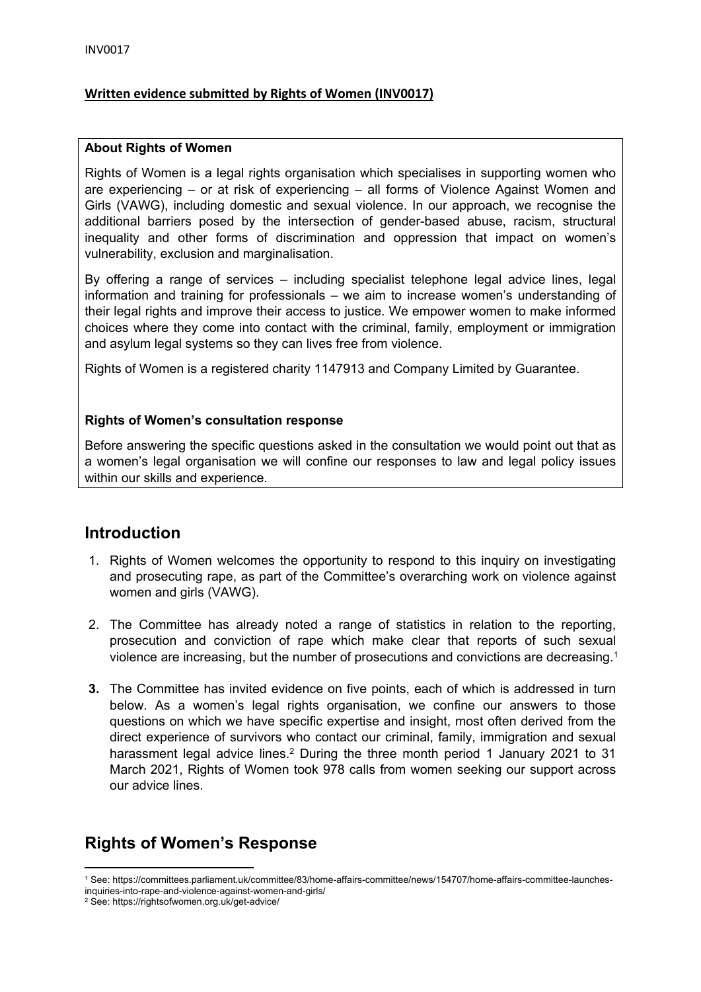## **Written evidence submitted by Rights of Women (INV0017)**

#### **About Rights of Women**

Rights of Women is a legal rights organisation which specialises in supporting women who are experiencing – or at risk of experiencing – all forms of Violence Against Women and Girls (VAWG), including domestic and sexual violence. In our approach, we recognise the additional barriers posed by the intersection of gender-based abuse, racism, structural inequality and other forms of discrimination and oppression that impact on women's vulnerability, exclusion and marginalisation.

By offering a range of services – including specialist telephone legal advice lines, legal information and training for professionals – we aim to increase women's understanding of their legal rights and improve their access to justice. We empower women to make informed choices where they come into contact with the criminal, family, employment or immigration and asylum legal systems so they can lives free from violence.

Rights of Women is a registered charity 1147913 and Company Limited by Guarantee.

### **Rights of Women's consultation response**

Before answering the specific questions asked in the consultation we would point out that as a women's legal organisation we will confine our responses to law and legal policy issues within our skills and experience.

## **Introduction**

- 1. Rights of Women welcomes the opportunity to respond to this inquiry on investigating and prosecuting rape, as part of the Committee's overarching work on violence against women and girls (VAWG).
- 2. The Committee has already noted a range of statistics in relation to the reporting, prosecution and conviction of rape which make clear that reports of such sexual violence are increasing, but the number of prosecutions and convictions are decreasing.<sup>1</sup>
- **3.** The Committee has invited evidence on five points, each of which is addressed in turn below. As a women's legal rights organisation, we confine our answers to those questions on which we have specific expertise and insight, most often derived from the direct experience of survivors who contact our criminal, family, immigration and sexual harassment legal advice lines.<sup>2</sup> During the three month period 1 January 2021 to 31 March 2021, Rights of Women took 978 calls from women seeking our support across our advice lines.

# **Rights of Women's Response**

<sup>1</sup> See: https://committees.parliament.uk/committee/83/home-affairs-committee/news/154707/home-affairs-committee-launches-

inquiries-into-rape-and-violence-against-women-and-girls/

<sup>2</sup> See: https://rightsofwomen.org.uk/get-advice/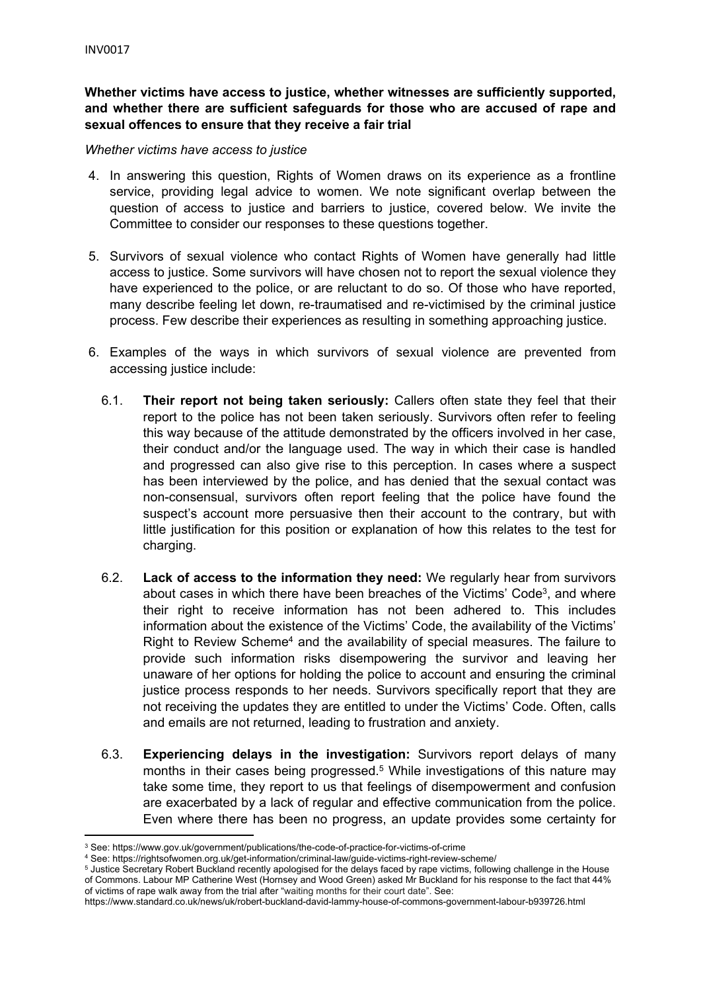**Whether victims have access to justice, whether witnesses are sufficiently supported, and whether there are sufficient safeguards for those who are accused of rape and sexual offences to ensure that they receive a fair trial**

#### *Whether victims have access to justice*

- 4. In answering this question, Rights of Women draws on its experience as a frontline service, providing legal advice to women. We note significant overlap between the question of access to justice and barriers to justice, covered below. We invite the Committee to consider our responses to these questions together.
- 5. Survivors of sexual violence who contact Rights of Women have generally had little access to justice. Some survivors will have chosen not to report the sexual violence they have experienced to the police, or are reluctant to do so. Of those who have reported, many describe feeling let down, re-traumatised and re-victimised by the criminal justice process. Few describe their experiences as resulting in something approaching justice.
- 6. Examples of the ways in which survivors of sexual violence are prevented from accessing justice include:
	- 6.1. **Their report not being taken seriously:** Callers often state they feel that their report to the police has not been taken seriously. Survivors often refer to feeling this way because of the attitude demonstrated by the officers involved in her case, their conduct and/or the language used. The way in which their case is handled and progressed can also give rise to this perception. In cases where a suspect has been interviewed by the police, and has denied that the sexual contact was non-consensual, survivors often report feeling that the police have found the suspect's account more persuasive then their account to the contrary, but with little justification for this position or explanation of how this relates to the test for charging.
	- 6.2. **Lack of access to the information they need:** We regularly hear from survivors about cases in which there have been breaches of the Victims' Code<sup>3</sup>, and where their right to receive information has not been adhered to. This includes information about the existence of the Victims' Code, the availability of the Victims' Right to Review Scheme<sup>4</sup> and the availability of special measures. The failure to provide such information risks disempowering the survivor and leaving her unaware of her options for holding the police to account and ensuring the criminal justice process responds to her needs. Survivors specifically report that they are not receiving the updates they are entitled to under the Victims' Code. Often, calls and emails are not returned, leading to frustration and anxiety.
	- 6.3. **Experiencing delays in the investigation:** Survivors report delays of many months in their cases being progressed.<sup>5</sup> While investigations of this nature may take some time, they report to us that feelings of disempowerment and confusion are exacerbated by a lack of regular and effective communication from the police. Even where there has been no progress, an update provides some certainty for

<sup>3</sup> See: https://www.gov.uk/government/publications/the-code-of-practice-for-victims-of-crime

<sup>4</sup> See: https://rightsofwomen.org.uk/get-information/criminal-law/guide-victims-right-review-scheme/

<sup>5</sup> Justice Secretary Robert Buckland recently apologised for the delays faced by rape victims, following challenge in the House of Commons. Labour MP Catherine West (Hornsey and Wood Green) asked Mr Buckland for his response to the fact that 44% of victims of rape walk away from the trial after "waiting months for their court date". See:

<https://www.standard.co.uk/news/uk/robert-buckland-david-lammy-house-of-commons-government-labour-b939726.html>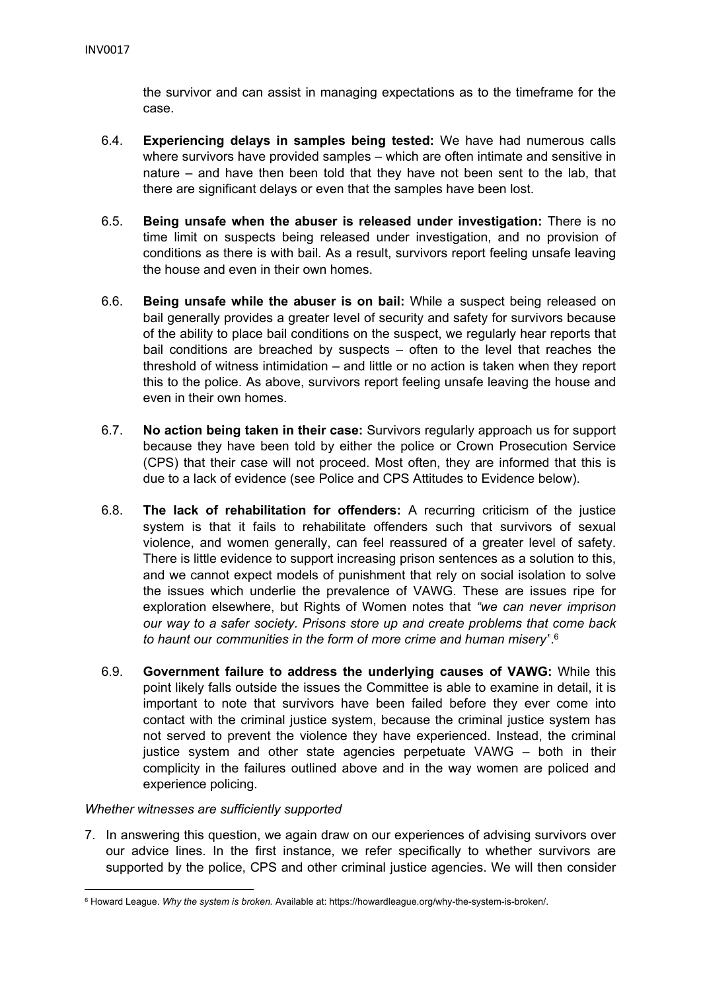the survivor and can assist in managing expectations as to the timeframe for the case.

- 6.4. **Experiencing delays in samples being tested:** We have had numerous calls where survivors have provided samples – which are often intimate and sensitive in nature – and have then been told that they have not been sent to the lab, that there are significant delays or even that the samples have been lost.
- 6.5. **Being unsafe when the abuser is released under investigation:** There is no time limit on suspects being released under investigation, and no provision of conditions as there is with bail. As a result, survivors report feeling unsafe leaving the house and even in their own homes.
- 6.6. **Being unsafe while the abuser is on bail:** While a suspect being released on bail generally provides a greater level of security and safety for survivors because of the ability to place bail conditions on the suspect, we regularly hear reports that bail conditions are breached by suspects – often to the level that reaches the threshold of witness intimidation – and little or no action is taken when they report this to the police. As above, survivors report feeling unsafe leaving the house and even in their own homes.
- 6.7. **No action being taken in their case:** Survivors regularly approach us for support because they have been told by either the police or Crown Prosecution Service (CPS) that their case will not proceed. Most often, they are informed that this is due to a lack of evidence (see Police and CPS Attitudes to Evidence below).
- 6.8. **The lack of rehabilitation for offenders:** A recurring criticism of the justice system is that it fails to rehabilitate offenders such that survivors of sexual violence, and women generally, can feel reassured of a greater level of safety. There is little evidence to support increasing prison sentences as a solution to this, and we cannot expect models of punishment that rely on social isolation to solve the issues which underlie the prevalence of VAWG. These are issues ripe for exploration elsewhere, but Rights of Women notes that *"we can never imprison our way to a safer society. Prisons store up and create problems that come back to haunt our communities in the form of more crime and human misery"*. 6
- 6.9. **Government failure to address the underlying causes of VAWG:** While this point likely falls outside the issues the Committee is able to examine in detail, it is important to note that survivors have been failed before they ever come into contact with the criminal justice system, because the criminal justice system has not served to prevent the violence they have experienced. Instead, the criminal justice system and other state agencies perpetuate VAWG – both in their complicity in the failures outlined above and in the way women are policed and experience policing.

### *Whether witnesses are sufficiently supported*

7. In answering this question, we again draw on our experiences of advising survivors over our advice lines. In the first instance, we refer specifically to whether survivors are supported by the police, CPS and other criminal justice agencies. We will then consider

<sup>6</sup> Howard League. *Why the system is broken.* Available at: [https://howardleague.org/why-the-system-is-broken/.](https://howardleague.org/why-the-system-is-broken/)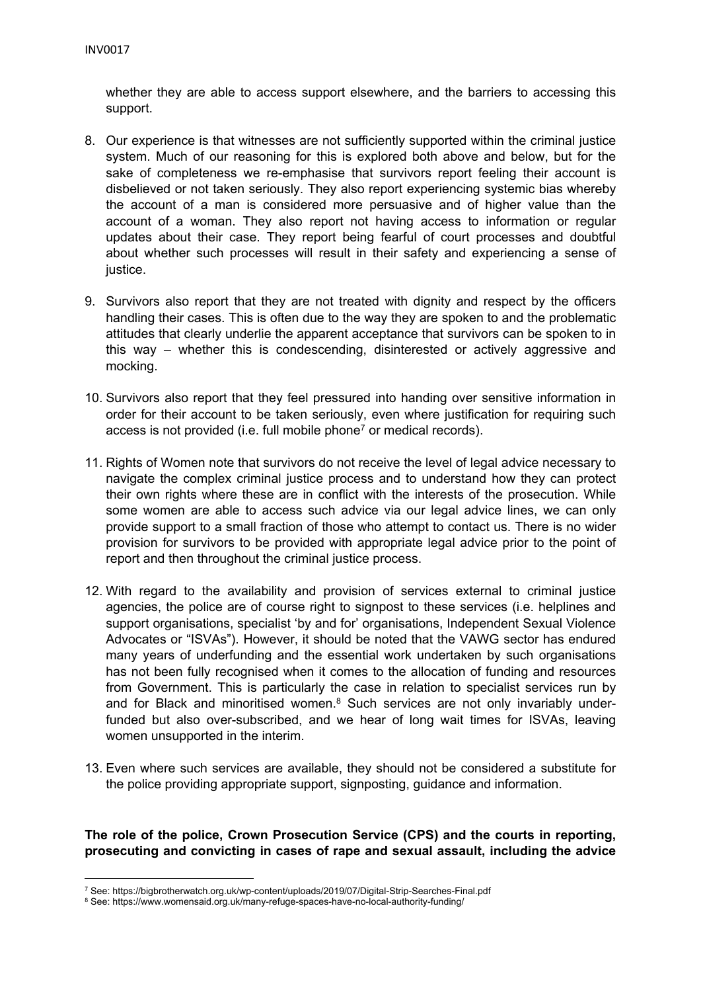whether they are able to access support elsewhere, and the barriers to accessing this support.

- 8. Our experience is that witnesses are not sufficiently supported within the criminal justice system. Much of our reasoning for this is explored both above and below, but for the sake of completeness we re-emphasise that survivors report feeling their account is disbelieved or not taken seriously. They also report experiencing systemic bias whereby the account of a man is considered more persuasive and of higher value than the account of a woman. They also report not having access to information or regular updates about their case. They report being fearful of court processes and doubtful about whether such processes will result in their safety and experiencing a sense of justice.
- 9. Survivors also report that they are not treated with dignity and respect by the officers handling their cases. This is often due to the way they are spoken to and the problematic attitudes that clearly underlie the apparent acceptance that survivors can be spoken to in this way – whether this is condescending, disinterested or actively aggressive and mocking.
- 10. Survivors also report that they feel pressured into handing over sensitive information in order for their account to be taken seriously, even where justification for requiring such access is not provided (i.e. full mobile phone<sup>7</sup> or medical records).
- 11. Rights of Women note that survivors do not receive the level of legal advice necessary to navigate the complex criminal justice process and to understand how they can protect their own rights where these are in conflict with the interests of the prosecution. While some women are able to access such advice via our legal advice lines, we can only provide support to a small fraction of those who attempt to contact us. There is no wider provision for survivors to be provided with appropriate legal advice prior to the point of report and then throughout the criminal justice process.
- 12. With regard to the availability and provision of services external to criminal justice agencies, the police are of course right to signpost to these services (i.e. helplines and support organisations, specialist 'by and for' organisations, Independent Sexual Violence Advocates or "ISVAs"). However, it should be noted that the VAWG sector has endured many years of underfunding and the essential work undertaken by such organisations has not been fully recognised when it comes to the allocation of funding and resources from Government. This is particularly the case in relation to specialist services run by and for Black and minoritised women. $8$  Such services are not only invariably underfunded but also over-subscribed, and we hear of long wait times for ISVAs, leaving women unsupported in the interim.
- 13. Even where such services are available, they should not be considered a substitute for the police providing appropriate support, signposting, guidance and information.

## **The role of the police, Crown Prosecution Service (CPS) and the courts in reporting, prosecuting and convicting in cases of rape and sexual assault, including the advice**

<sup>7</sup> See: <https://bigbrotherwatch.org.uk/wp-content/uploads/2019/07/Digital-Strip-Searches-Final.pdf>

<sup>8</sup> See: <https://www.womensaid.org.uk/many-refuge-spaces-have-no-local-authority-funding/>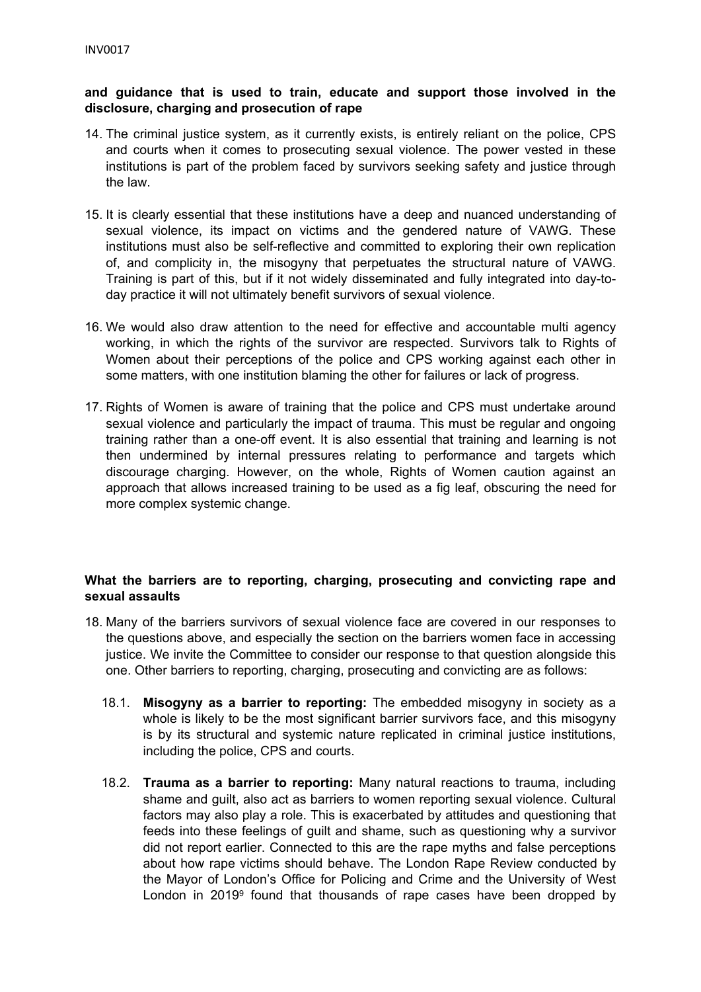### **and guidance that is used to train, educate and support those involved in the disclosure, charging and prosecution of rape**

- 14. The criminal justice system, as it currently exists, is entirely reliant on the police, CPS and courts when it comes to prosecuting sexual violence. The power vested in these institutions is part of the problem faced by survivors seeking safety and justice through the law.
- 15. It is clearly essential that these institutions have a deep and nuanced understanding of sexual violence, its impact on victims and the gendered nature of VAWG. These institutions must also be self-reflective and committed to exploring their own replication of, and complicity in, the misogyny that perpetuates the structural nature of VAWG. Training is part of this, but if it not widely disseminated and fully integrated into day-today practice it will not ultimately benefit survivors of sexual violence.
- 16. We would also draw attention to the need for effective and accountable multi agency working, in which the rights of the survivor are respected. Survivors talk to Rights of Women about their perceptions of the police and CPS working against each other in some matters, with one institution blaming the other for failures or lack of progress.
- 17. Rights of Women is aware of training that the police and CPS must undertake around sexual violence and particularly the impact of trauma. This must be regular and ongoing training rather than a one-off event. It is also essential that training and learning is not then undermined by internal pressures relating to performance and targets which discourage charging. However, on the whole, Rights of Women caution against an approach that allows increased training to be used as a fig leaf, obscuring the need for more complex systemic change.

## **What the barriers are to reporting, charging, prosecuting and convicting rape and sexual assaults**

- 18. Many of the barriers survivors of sexual violence face are covered in our responses to the questions above, and especially the section on the barriers women face in accessing justice. We invite the Committee to consider our response to that question alongside this one. Other barriers to reporting, charging, prosecuting and convicting are as follows:
	- 18.1. **Misogyny as a barrier to reporting:** The embedded misogyny in society as a whole is likely to be the most significant barrier survivors face, and this misogyny is by its structural and systemic nature replicated in criminal justice institutions, including the police, CPS and courts.
	- 18.2. **Trauma as a barrier to reporting:** Many natural reactions to trauma, including shame and guilt, also act as barriers to women reporting sexual violence. Cultural factors may also play a role. This is exacerbated by attitudes and questioning that feeds into these feelings of guilt and shame, such as questioning why a survivor did not report earlier. Connected to this are the rape myths and false perceptions about how rape victims should behave. The London Rape Review conducted by the Mayor of London's Office for Policing and Crime and the University of West London in 2019<sup>9</sup> found that thousands of rape cases have been dropped by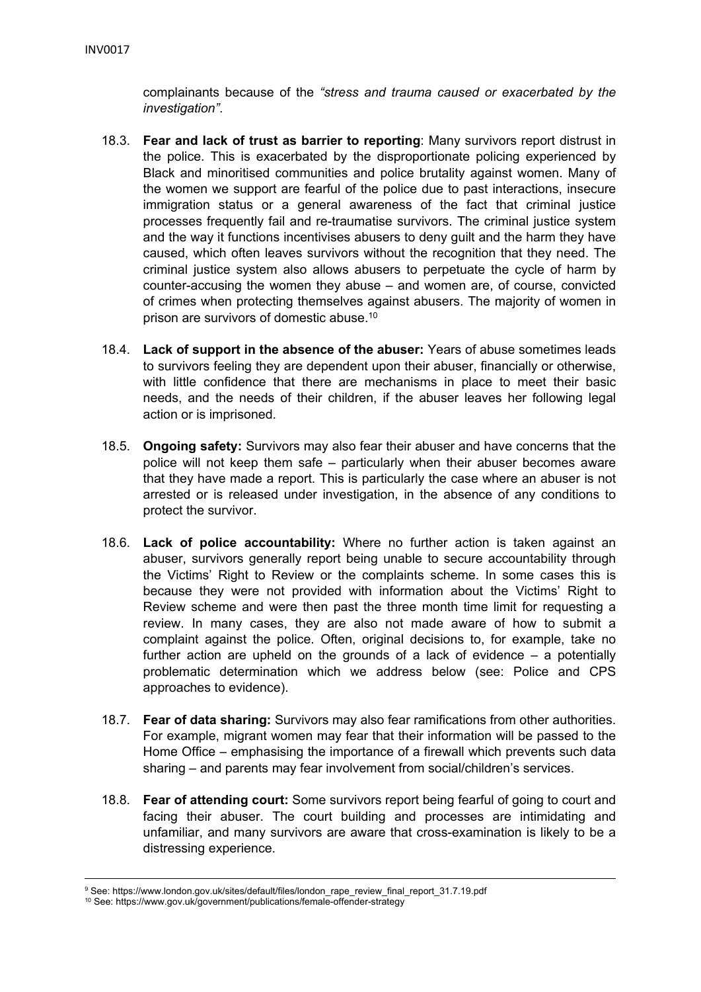complainants because of the *"stress and trauma caused or exacerbated by the investigation"*.

- 18.3. **Fear and lack of trust as barrier to reporting**: Many survivors report distrust in the police. This is exacerbated by the disproportionate policing experienced by Black and minoritised communities and police brutality against women. Many of the women we support are fearful of the police due to past interactions, insecure immigration status or a general awareness of the fact that criminal justice processes frequently fail and re-traumatise survivors. The criminal justice system and the way it functions incentivises abusers to deny guilt and the harm they have caused, which often leaves survivors without the recognition that they need. The criminal justice system also allows abusers to perpetuate the cycle of harm by counter-accusing the women they abuse – and women are, of course, convicted of crimes when protecting themselves against abusers. The majority of women in prison are survivors of domestic abuse.<sup>10</sup>
- 18.4. **Lack of support in the absence of the abuser:** Years of abuse sometimes leads to survivors feeling they are dependent upon their abuser, financially or otherwise, with little confidence that there are mechanisms in place to meet their basic needs, and the needs of their children, if the abuser leaves her following legal action or is imprisoned.
- 18.5. **Ongoing safety:** Survivors may also fear their abuser and have concerns that the police will not keep them safe – particularly when their abuser becomes aware that they have made a report. This is particularly the case where an abuser is not arrested or is released under investigation, in the absence of any conditions to protect the survivor.
- 18.6. **Lack of police accountability:** Where no further action is taken against an abuser, survivors generally report being unable to secure accountability through the Victims' Right to Review or the complaints scheme. In some cases this is because they were not provided with information about the Victims' Right to Review scheme and were then past the three month time limit for requesting a review. In many cases, they are also not made aware of how to submit a complaint against the police. Often, original decisions to, for example, take no further action are upheld on the grounds of a lack of evidence – a potentially problematic determination which we address below (see: Police and CPS approaches to evidence).
- 18.7. **Fear of data sharing:** Survivors may also fear ramifications from other authorities. For example, migrant women may fear that their information will be passed to the Home Office – emphasising the importance of a firewall which prevents such data sharing – and parents may fear involvement from social/children's services.
- 18.8. **Fear of attending court:** Some survivors report being fearful of going to court and facing their abuser. The court building and processes are intimidating and unfamiliar, and many survivors are aware that cross-examination is likely to be a distressing experience.

<sup>9</sup> See: https://www.london.gov.uk/sites/default/files/london\_rape\_review\_final\_report\_31.7.19.pdf

<sup>10</sup> See: <https://www.gov.uk/government/publications/female-offender-strategy>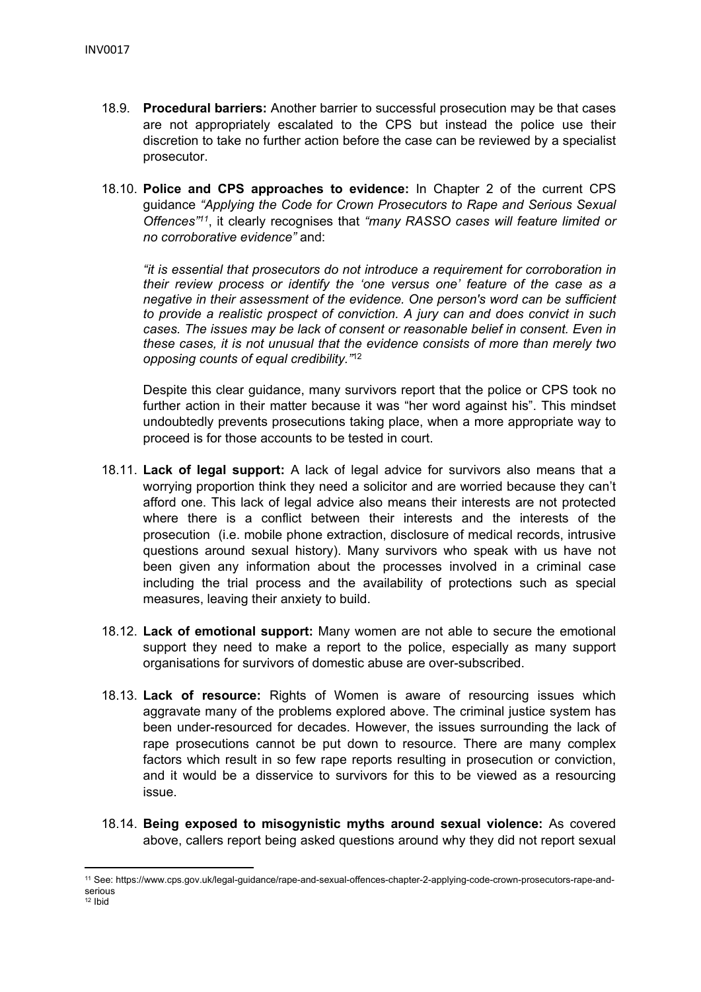- 18.9. **Procedural barriers:** Another barrier to successful prosecution may be that cases are not appropriately escalated to the CPS but instead the police use their discretion to take no further action before the case can be reviewed by a specialist prosecutor.
- 18.10. **Police and CPS approaches to evidence:** In Chapter 2 of the current CPS guidance *"Applying the Code for Crown Prosecutors to Rape and Serious Sexual Offences"<sup>11</sup>* , it clearly recognises that *"many RASSO cases will feature limited or no corroborative evidence"* and:

*"it is essential that prosecutors do not introduce a requirement for corroboration in their review process or identify the 'one versus one' feature of the case as a negative in their assessment of the evidence. One person's word can be sufficient to provide a realistic prospect of conviction. A jury can and does convict in such cases. The issues may be lack of consent or reasonable belief in consent. Even in these cases, it is not unusual that the evidence consists of more than merely two opposing counts of equal credibility."*<sup>12</sup>

Despite this clear guidance, many survivors report that the police or CPS took no further action in their matter because it was "her word against his". This mindset undoubtedly prevents prosecutions taking place, when a more appropriate way to proceed is for those accounts to be tested in court.

- 18.11. **Lack of legal support:** A lack of legal advice for survivors also means that a worrying proportion think they need a solicitor and are worried because they can't afford one. This lack of legal advice also means their interests are not protected where there is a conflict between their interests and the interests of the prosecution (i.e. mobile phone extraction, disclosure of medical records, intrusive questions around sexual history). Many survivors who speak with us have not been given any information about the processes involved in a criminal case including the trial process and the availability of protections such as special measures, leaving their anxiety to build.
- 18.12. **Lack of emotional support:** Many women are not able to secure the emotional support they need to make a report to the police, especially as many support organisations for survivors of domestic abuse are over-subscribed.
- 18.13. **Lack of resource:** Rights of Women is aware of resourcing issues which aggravate many of the problems explored above. The criminal justice system has been under-resourced for decades. However, the issues surrounding the lack of rape prosecutions cannot be put down to resource. There are many complex factors which result in so few rape reports resulting in prosecution or conviction, and it would be a disservice to survivors for this to be viewed as a resourcing issue.
- 18.14. **Being exposed to misogynistic myths around sexual violence:** As covered above, callers report being asked questions around why they did not report sexual

<sup>11</sup> See: https://www.cps.gov.uk/legal-guidance/rape-and-sexual-offences-chapter-2-applying-code-crown-prosecutors-rape-andserious

 $12$  Ibid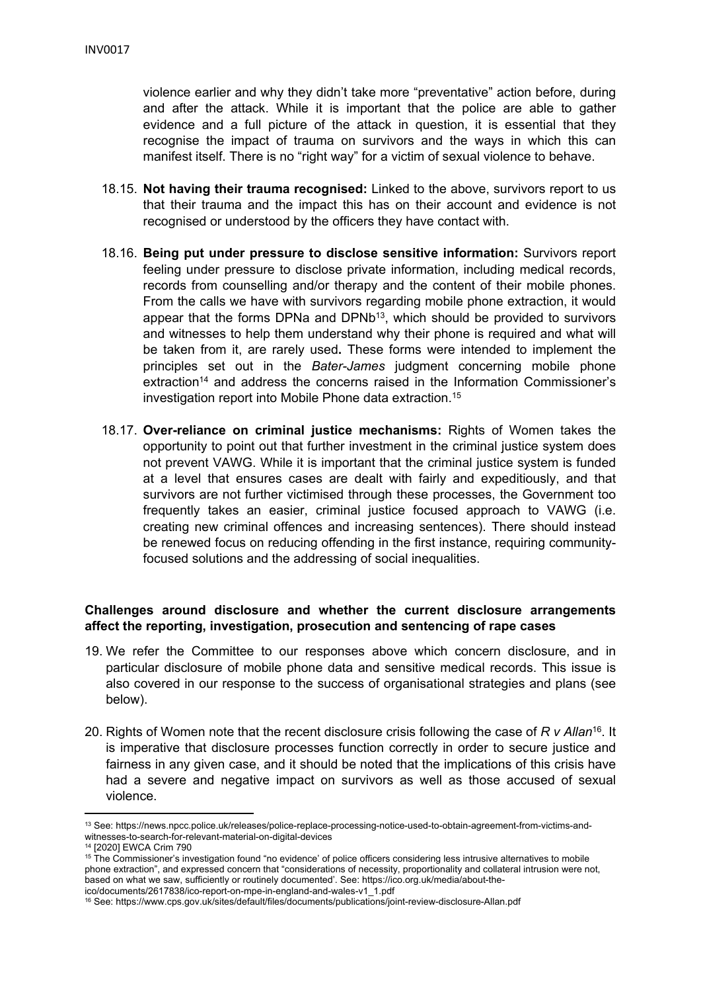violence earlier and why they didn't take more "preventative" action before, during and after the attack. While it is important that the police are able to gather evidence and a full picture of the attack in question, it is essential that they recognise the impact of trauma on survivors and the ways in which this can manifest itself. There is no "right way" for a victim of sexual violence to behave.

- 18.15. **Not having their trauma recognised:** Linked to the above, survivors report to us that their trauma and the impact this has on their account and evidence is not recognised or understood by the officers they have contact with.
- 18.16. **Being put under pressure to disclose sensitive information:** Survivors report feeling under pressure to disclose private information, including medical records, records from counselling and/or therapy and the content of their mobile phones. From the calls we have with survivors regarding mobile phone extraction, it would appear that the forms DPNa and DPNb<sup>13</sup>, which should be provided to survivors and witnesses to help them understand why their phone is required and what will be taken from it, are rarely used**.** These forms were intended to implement the principles set out in the *Bater-James* judgment concerning mobile phone extraction<sup>14</sup> and address the concerns raised in the Information Commissioner's investigation report into Mobile Phone data extraction.<sup>15</sup>
- 18.17. **Over-reliance on criminal justice mechanisms:** Rights of Women takes the opportunity to point out that further investment in the criminal justice system does not prevent VAWG. While it is important that the criminal justice system is funded at a level that ensures cases are dealt with fairly and expeditiously, and that survivors are not further victimised through these processes, the Government too frequently takes an easier, criminal justice focused approach to VAWG (i.e. creating new criminal offences and increasing sentences). There should instead be renewed focus on reducing offending in the first instance, requiring communityfocused solutions and the addressing of social inequalities.

### **Challenges around disclosure and whether the current disclosure arrangements affect the reporting, investigation, prosecution and sentencing of rape cases**

- 19. We refer the Committee to our responses above which concern disclosure, and in particular disclosure of mobile phone data and sensitive medical records. This issue is also covered in our response to the success of organisational strategies and plans (see below).
- 20. Rights of Women note that the recent disclosure crisis following the case of *R v Allan*<sup>16</sup> . It is imperative that disclosure processes function correctly in order to secure justice and fairness in any given case, and it should be noted that the implications of this crisis have had a severe and negative impact on survivors as well as those accused of sexual violence.

<sup>13</sup> See: [https://news.npcc.police.uk/releases/police-replace-processing-notice-used-to-obtain-agreement-from-victims-and](https://news.npcc.police.uk/releases/police-replace-processing-notice-used-to-obtain-agreement-from-victims-and-witnesses-to-search-for-relevant-material-on-digital-devices)[witnesses-to-search-for-relevant-material-on-digital-devices](https://news.npcc.police.uk/releases/police-replace-processing-notice-used-to-obtain-agreement-from-victims-and-witnesses-to-search-for-relevant-material-on-digital-devices)

<sup>14</sup> [2020] EWCA Crim 790

<sup>&</sup>lt;sup>15</sup> The Commissioner's investigation found "no evidence' of police officers considering less intrusive alternatives to mobile phone extraction", and expressed concern that "considerations of necessity, proportionality and collateral intrusion were not, based on what we saw, sufficiently or routinely documented'. See: [https://ico.org.uk/media/about-the](https://ico.org.uk/media/about-the-ico/documents/2617838/ico-report-on-mpe-in-england-and-wales-v1_1.pdf)[ico/documents/2617838/ico-report-on-mpe-in-england-and-wales-v1\\_1.pdf](https://ico.org.uk/media/about-the-ico/documents/2617838/ico-report-on-mpe-in-england-and-wales-v1_1.pdf)

<sup>16</sup> See: <https://www.cps.gov.uk/sites/default/files/documents/publications/joint-review-disclosure-Allan.pdf>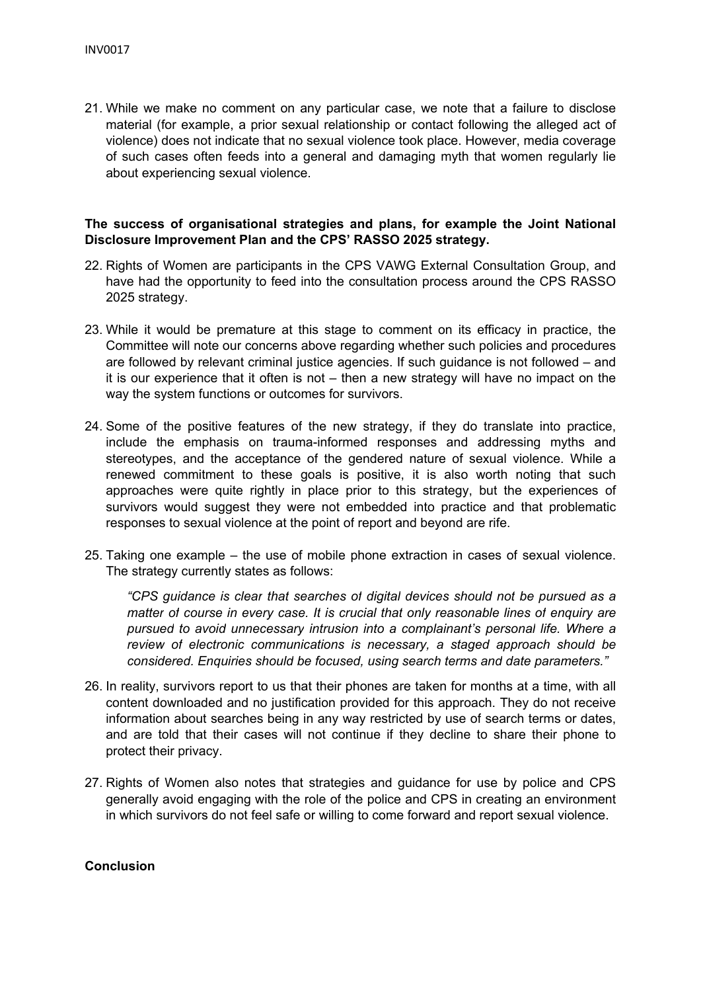21. While we make no comment on any particular case, we note that a failure to disclose material (for example, a prior sexual relationship or contact following the alleged act of violence) does not indicate that no sexual violence took place. However, media coverage of such cases often feeds into a general and damaging myth that women regularly lie about experiencing sexual violence.

#### **The success of organisational strategies and plans, for example the Joint National Disclosure Improvement Plan and the CPS' RASSO 2025 strategy.**

- 22. Rights of Women are participants in the CPS VAWG External Consultation Group, and have had the opportunity to feed into the consultation process around the CPS RASSO 2025 strategy.
- 23. While it would be premature at this stage to comment on its efficacy in practice, the Committee will note our concerns above regarding whether such policies and procedures are followed by relevant criminal justice agencies. If such guidance is not followed – and it is our experience that it often is not – then a new strategy will have no impact on the way the system functions or outcomes for survivors.
- 24. Some of the positive features of the new strategy, if they do translate into practice, include the emphasis on trauma-informed responses and addressing myths and stereotypes, and the acceptance of the gendered nature of sexual violence. While a renewed commitment to these goals is positive, it is also worth noting that such approaches were quite rightly in place prior to this strategy, but the experiences of survivors would suggest they were not embedded into practice and that problematic responses to sexual violence at the point of report and beyond are rife.
- 25. Taking one example the use of mobile phone extraction in cases of sexual violence. The strategy currently states as follows:

*"CPS guidance is clear that searches of digital devices should not be pursued as a matter of course in every case. It is crucial that only reasonable lines of enquiry are pursued to avoid unnecessary intrusion into a complainant's personal life. Where a review of electronic communications is necessary, a staged approach should be considered. Enquiries should be focused, using search terms and date parameters."*

- 26. In reality, survivors report to us that their phones are taken for months at a time, with all content downloaded and no justification provided for this approach. They do not receive information about searches being in any way restricted by use of search terms or dates, and are told that their cases will not continue if they decline to share their phone to protect their privacy.
- 27. Rights of Women also notes that strategies and guidance for use by police and CPS generally avoid engaging with the role of the police and CPS in creating an environment in which survivors do not feel safe or willing to come forward and report sexual violence.

#### **Conclusion**